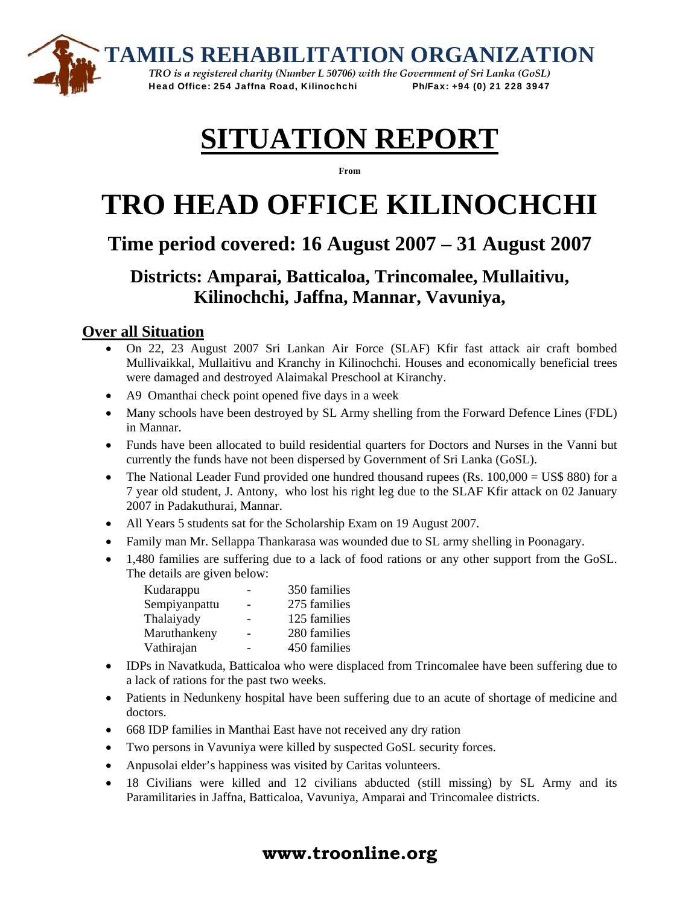



*TRO is a registered charity (Number L 50706) with the Government of Sri Lanka (GoSL)*  Head Office: 254 Jaffna Road, Kilinochchi Ph/Fax: +94 (0) 21 228 3947

# **SITUATION REPORT**

**From**

# **TRO HEAD OFFICE KILINOCHCHI**

# **Time period covered: 16 August 2007 – 31 August 2007**

# **Districts: Amparai, Batticaloa, Trincomalee, Mullaitivu, Kilinochchi, Jaffna, Mannar, Vavuniya,**

## **Over all Situation**

- On 22, 23 August 2007 Sri Lankan Air Force (SLAF) Kfir fast attack air craft bombed Mullivaikkal, Mullaitivu and Kranchy in Kilinochchi. Houses and economically beneficial trees were damaged and destroyed Alaimakal Preschool at Kiranchy.
- A9 Omanthai check point opened five days in a week
- Many schools have been destroyed by SL Army shelling from the Forward Defence Lines (FDL) in Mannar.
- Funds have been allocated to build residential quarters for Doctors and Nurses in the Vanni but currently the funds have not been dispersed by Government of Sri Lanka (GoSL).
- The National Leader Fund provided one hundred thousand rupees (Rs.  $100,000 = US$80$ ) for a 7 year old student, J. Antony, who lost his right leg due to the SLAF Kfir attack on 02 January 2007 in Padakuthurai, Mannar.
- All Years 5 students sat for the Scholarship Exam on 19 August 2007.
- Family man Mr. Sellappa Thankarasa was wounded due to SL army shelling in Poonagary.
- 1,480 families are suffering due to a lack of food rations or any other support from the GoSL. The details are given below:

| Kudarappu     |                          | 350 families |
|---------------|--------------------------|--------------|
| Sempiyanpattu | -                        | 275 families |
| Thalaiyady    | -                        | 125 families |
| Maruthankeny  | $\overline{\phantom{0}}$ | 280 families |
| Vathirajan    |                          | 450 families |

- IDPs in Navatkuda, Batticaloa who were displaced from Trincomalee have been suffering due to a lack of rations for the past two weeks.
- Patients in Nedunkeny hospital have been suffering due to an acute of shortage of medicine and doctors.
- 668 IDP families in Manthai East have not received any dry ration
- Two persons in Vavuniya were killed by suspected GoSL security forces.
- Anpusolai elder's happiness was visited by Caritas volunteers.
- 18 Civilians were killed and 12 civilians abducted (still missing) by SL Army and its Paramilitaries in Jaffna, Batticaloa, Vavuniya, Amparai and Trincomalee districts.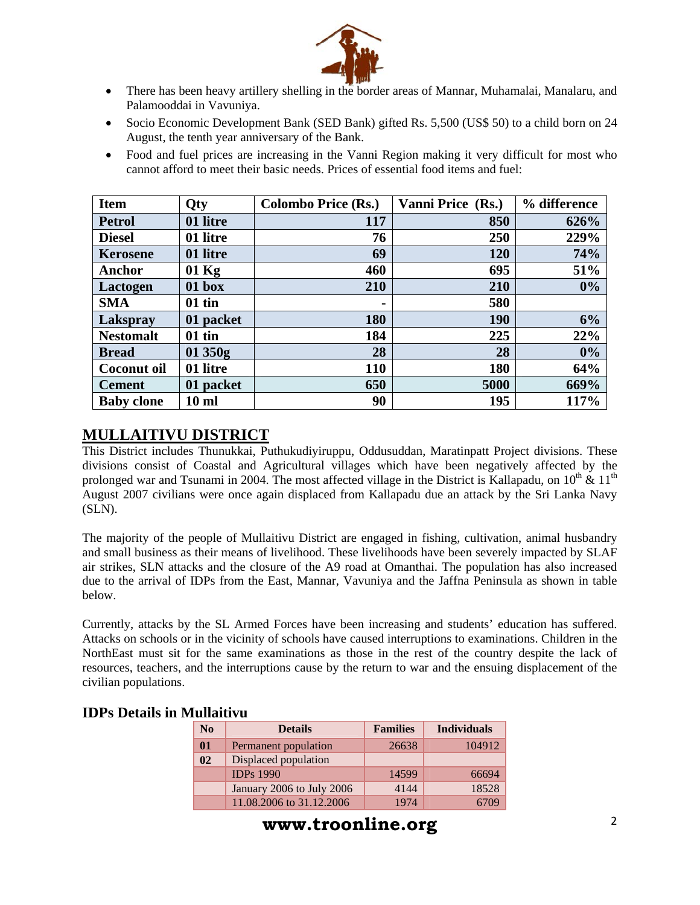

- There has been heavy artillery shelling in the border areas of Mannar, Muhamalai, Manalaru, and Palamooddai in Vavuniya.
- Socio Economic Development Bank (SED Bank) gifted Rs. 5,500 (US\$ 50) to a child born on 24 August, the tenth year anniversary of the Bank.
- Food and fuel prices are increasing in the Vanni Region making it very difficult for most who cannot afford to meet their basic needs. Prices of essential food items and fuel:

| <b>Item</b>        | <b>Qty</b>       | <b>Colombo Price (Rs.)</b> | Vanni Price (Rs.) | % difference |
|--------------------|------------------|----------------------------|-------------------|--------------|
| <b>Petrol</b>      | 01 litre         | 117                        | 850               | 626%         |
| <b>Diesel</b>      | 01 litre         | 76                         | 250               | 229%         |
| <b>Kerosene</b>    | 01 litre         | 69                         | 120               | 74%          |
| Anchor             | $01$ Kg          | 460                        | 695               | 51%          |
| Lactogen           | 01 box           | 210                        | 210               | 0%           |
| <b>SMA</b>         | $01$ tin         | $\blacksquare$             | 580               |              |
| Lakspray           | 01 packet        | 180                        | 190               | 6%           |
| <b>Nestomalt</b>   | $01$ tin         | 184                        | 225               | 22%          |
| <b>Bread</b>       | 01 350g          | 28                         | 28                | 0%           |
| <b>Coconut oil</b> | 01 litre         | <b>110</b>                 | 180               | 64%          |
| <b>Cement</b>      | 01 packet        | 650                        | 5000              | 669%         |
| <b>Baby clone</b>  | 10 <sub>ml</sub> | 90                         | 195               | 117%         |

### **MULLAITIVU DISTRICT**

This District includes Thunukkai, Puthukudiyiruppu, Oddusuddan, Maratinpatt Project divisions. These divisions consist of Coastal and Agricultural villages which have been negatively affected by the prolonged war and Tsunami in 2004. The most affected village in the District is Kallapadu, on  $10^{th} \& 11^{th}$ August 2007 civilians were once again displaced from Kallapadu due an attack by the Sri Lanka Navy  $(SLN)$ .

The majority of the people of Mullaitivu District are engaged in fishing, cultivation, animal husbandry and small business as their means of livelihood. These livelihoods have been severely impacted by SLAF air strikes, SLN attacks and the closure of the A9 road at Omanthai. The population has also increased due to the arrival of IDPs from the East, Mannar, Vavuniya and the Jaffna Peninsula as shown in table below.

Currently, attacks by the SL Armed Forces have been increasing and students' education has suffered. Attacks on schools or in the vicinity of schools have caused interruptions to examinations. Children in the NorthEast must sit for the same examinations as those in the rest of the country despite the lack of resources, teachers, and the interruptions cause by the return to war and the ensuing displacement of the civilian populations.

| N <sub>0</sub> | <b>Details</b>            | <b>Families</b> | <b>Individuals</b> |
|----------------|---------------------------|-----------------|--------------------|
| $\mathbf{0}$   | Permanent population      | 26638           | 104912             |
| 0 <sub>2</sub> | Displaced population      |                 |                    |
|                | <b>IDPs 1990</b>          | 14599           | 66694              |
|                | January 2006 to July 2006 | 4144            | 18528              |
|                | 11.08.2006 to 31.12.2006  | 1974            |                    |

#### **IDPs Details in Mullaitivu**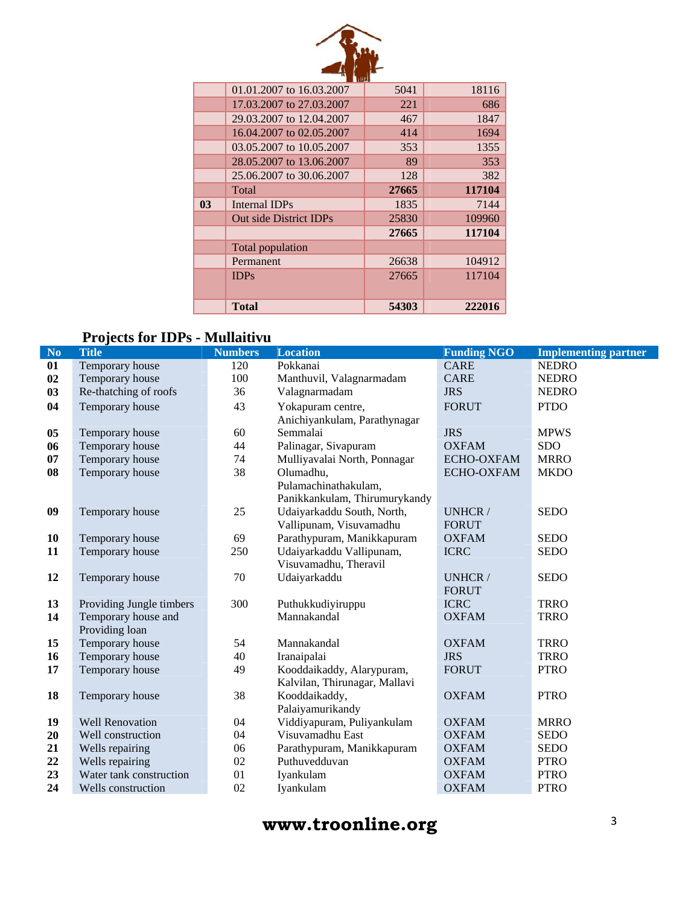|                | 01.01.2007 to 16.03.2007 | 5041  | 18116  |
|----------------|--------------------------|-------|--------|
|                | 17.03.2007 to 27.03.2007 | 221   | 686    |
|                | 29.03.2007 to 12.04.2007 | 467   | 1847   |
|                | 16.04.2007 to 02.05.2007 | 414   | 1694   |
|                | 03.05.2007 to 10.05.2007 | 353   | 1355   |
|                | 28.05.2007 to 13.06.2007 | 89    | 353    |
|                | 25,06,2007 to 30,06,2007 | 128   | 382    |
|                | Total                    | 27665 | 117104 |
| 0 <sub>3</sub> | Internal IDPs            | 1835  | 7144   |
|                | Out side District IDPs   | 25830 | 109960 |
|                |                          | 27665 | 117104 |
|                | Total population         |       |        |
|                | Permanent                | 26638 | 104912 |
|                | <b>IDPs</b>              | 27665 | 117104 |
|                |                          |       |        |
|                | Total                    | 54303 | 222016 |

# **Projects for IDPs - Mullaitivu**

| N <sub>o</sub> | <b>Title</b>             | <b>Numbers</b> | <b>Location</b>               | <b>Funding NGO</b> | <b>Implementing partner</b> |
|----------------|--------------------------|----------------|-------------------------------|--------------------|-----------------------------|
| 01             | Temporary house          | 120            | Pokkanai                      | <b>CARE</b>        | <b>NEDRO</b>                |
| 02             | Temporary house          | 100            | Manthuvil, Valagnarmadam      | <b>CARE</b>        | <b>NEDRO</b>                |
| 03             | Re-thatching of roofs    | 36             | Valagnarmadam                 | <b>JRS</b>         | <b>NEDRO</b>                |
| 04             | Temporary house          | 43             | Yokapuram centre,             | <b>FORUT</b>       | <b>PTDO</b>                 |
|                |                          |                | Anichiyankulam, Parathynagar  |                    |                             |
| 05             | Temporary house          | 60             | Semmalai                      | <b>JRS</b>         | <b>MPWS</b>                 |
| 06             | Temporary house          | 44             | Palinagar, Sivapuram          | <b>OXFAM</b>       | <b>SDO</b>                  |
| 07             | Temporary house          | 74             | Mulliyavalai North, Ponnagar  | ECHO-OXFAM         | <b>MRRO</b>                 |
| 08             | Temporary house          | 38             | Olumadhu,                     | ECHO-OXFAM         | <b>MKDO</b>                 |
|                |                          |                | Pulamachinathakulam,          |                    |                             |
|                |                          |                | Panikkankulam, Thirumurykandy |                    |                             |
| 09             | Temporary house          | 25             | Udaiyarkaddu South, North,    | UNHCR /            | <b>SEDO</b>                 |
|                |                          |                | Vallipunam, Visuvamadhu       | <b>FORUT</b>       |                             |
| 10             | Temporary house          | 69             | Parathypuram, Manikkapuram    | <b>OXFAM</b>       | <b>SEDO</b>                 |
| 11             | Temporary house          | 250            | Udaiyarkaddu Vallipunam,      | <b>ICRC</b>        | <b>SEDO</b>                 |
|                |                          |                | Visuvamadhu, Theravil         |                    |                             |
| 12             | Temporary house          | 70             | Udaiyarkaddu                  | UNHCR/             | <b>SEDO</b>                 |
|                |                          |                |                               | <b>FORUT</b>       |                             |
| 13             | Providing Jungle timbers | 300            | Puthukkudiyiruppu             | <b>ICRC</b>        | <b>TRRO</b>                 |
| 14             | Temporary house and      |                | Mannakandal                   | <b>OXFAM</b>       | <b>TRRO</b>                 |
|                | Providing loan           |                |                               |                    |                             |
| 15             | Temporary house          | 54             | Mannakandal                   | <b>OXFAM</b>       | <b>TRRO</b>                 |
| 16             | Temporary house          | 40             | Iranaipalai                   | <b>JRS</b>         | <b>TRRO</b>                 |
| 17             | Temporary house          | 49             | Kooddaikaddy, Alarypuram,     | <b>FORUT</b>       | <b>PTRO</b>                 |
|                |                          |                | Kalvilan, Thirunagar, Mallavi |                    |                             |
| 18             | Temporary house          | 38             | Kooddaikaddy,                 | <b>OXFAM</b>       | <b>PTRO</b>                 |
|                |                          |                | Palaiyamurikandy              |                    |                             |
| 19             | <b>Well Renovation</b>   | 04             | Viddiyapuram, Puliyankulam    | <b>OXFAM</b>       | <b>MRRO</b>                 |
| 20             | Well construction        | 04             | Visuvamadhu East              | <b>OXFAM</b>       | <b>SEDO</b>                 |
| 21             | Wells repairing          | 06             | Parathypuram, Manikkapuram    | <b>OXFAM</b>       | <b>SEDO</b>                 |
| 22             | Wells repairing          | 02             | Puthuvedduvan                 | <b>OXFAM</b>       | <b>PTRO</b>                 |
| 23             | Water tank construction  | 01             | Iyankulam                     | <b>OXFAM</b>       | <b>PTRO</b>                 |
| 24             | Wells construction       | 02             | Iyankulam                     | <b>OXFAM</b>       | <b>PTRO</b>                 |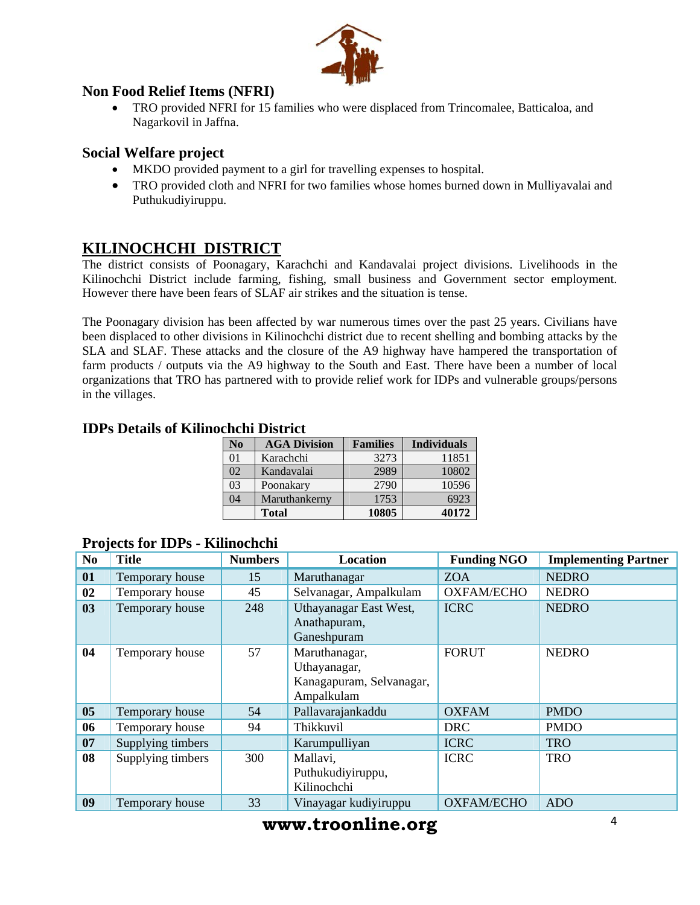

#### **Non Food Relief Items (NFRI)**

• TRO provided NFRI for 15 families who were displaced from Trincomalee, Batticaloa, and Nagarkovil in Jaffna.

#### **Social Welfare project**

- MKDO provided payment to a girl for travelling expenses to hospital.
- TRO provided cloth and NFRI for two families whose homes burned down in Mulliyavalai and Puthukudiyiruppu.

## **KILINOCHCHI DISTRICT**

The district consists of Poonagary, Karachchi and Kandavalai project divisions. Livelihoods in the Kilinochchi District include farming, fishing, small business and Government sector employment. However there have been fears of SLAF air strikes and the situation is tense.

The Poonagary division has been affected by war numerous times over the past 25 years. Civilians have been displaced to other divisions in Kilinochchi district due to recent shelling and bombing attacks by the SLA and SLAF. These attacks and the closure of the A9 highway have hampered the transportation of farm products / outputs via the A9 highway to the South and East. There have been a number of local organizations that TRO has partnered with to provide relief work for IDPs and vulnerable groups/persons in the villages.

| No | <b>AGA Division</b> | <b>Families</b> | <b>Individuals</b> |  |  |  |  |  |  |
|----|---------------------|-----------------|--------------------|--|--|--|--|--|--|
| 01 | Karachchi           | 3273            | 11851              |  |  |  |  |  |  |
| 02 | Kandavalai          | 2989            | 10802              |  |  |  |  |  |  |
| 03 | Poonakary           | 2790            | 10596              |  |  |  |  |  |  |
| 04 | Maruthankerny       | 1753            | 6923               |  |  |  |  |  |  |
|    | <b>Total</b>        | 10805           | 40172              |  |  |  |  |  |  |

#### **IDPs Details of Kilinochchi District**

| No.            | <b>Title</b>      | <b>Numbers</b> | <b>Location</b>                                                         | <b>Funding NGO</b> | <b>Implementing Partner</b> |
|----------------|-------------------|----------------|-------------------------------------------------------------------------|--------------------|-----------------------------|
| 01             | Temporary house   | 15             | Maruthanagar                                                            | <b>ZOA</b>         | <b>NEDRO</b>                |
| 02             | Temporary house   | 45             | Selvanagar, Ampalkulam                                                  | <b>OXFAM/ECHO</b>  | <b>NEDRO</b>                |
| 03             | Temporary house   | 248            | Uthayanagar East West,<br>Anathapuram,<br>Ganeshpuram                   | <b>ICRC</b>        | <b>NEDRO</b>                |
| 04             | Temporary house   | 57             | Maruthanagar,<br>Uthayanagar,<br>Kanagapuram, Selvanagar,<br>Ampalkulam | <b>FORUT</b>       | <b>NEDRO</b>                |
| 0 <sub>5</sub> | Temporary house   | 54             | Pallavarajankaddu                                                       | <b>OXFAM</b>       | <b>PMDO</b>                 |
| 06             | Temporary house   | 94             | Thikkuvil                                                               | <b>DRC</b>         | <b>PMDO</b>                 |
| 07             | Supplying timbers |                | Karumpulliyan                                                           | <b>ICRC</b>        | <b>TRO</b>                  |
| 08             | Supplying timbers | 300            | Mallavi,<br>Puthukudiyiruppu,<br>Kilinochchi                            | <b>ICRC</b>        | <b>TRO</b>                  |
| 09             | Temporary house   | 33             | Vinayagar kudiyiruppu                                                   | <b>OXFAM/ECHO</b>  | <b>ADO</b>                  |

#### **Projects for IDPs - Kilinochchi**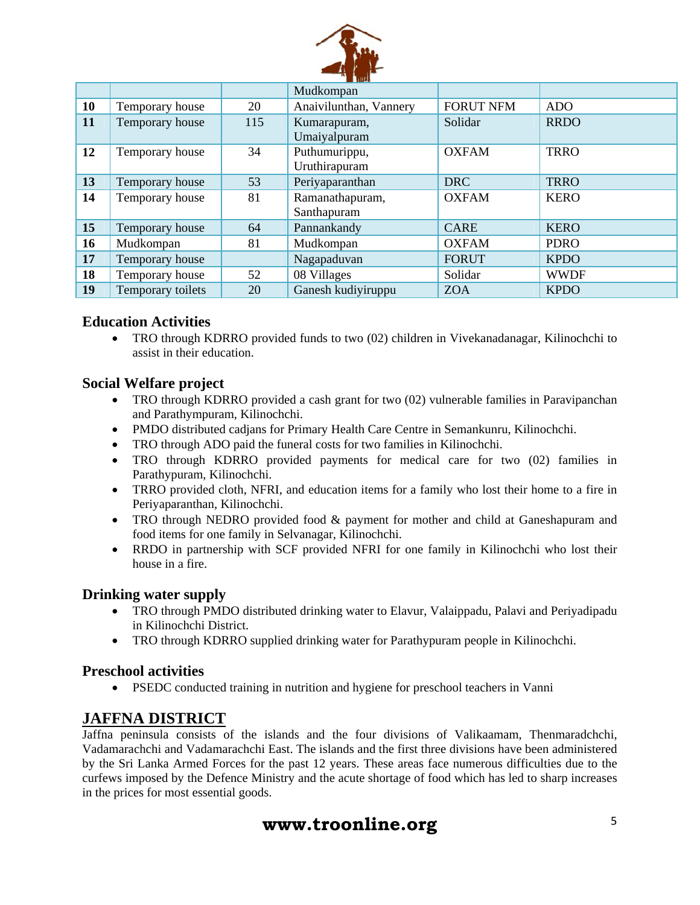

|    |                   |     | Mudkompan                      |                  |             |
|----|-------------------|-----|--------------------------------|------------------|-------------|
| 10 | Temporary house   | 20  | Anaivilunthan, Vannery         | <b>FORUT NFM</b> | ADO         |
| 11 | Temporary house   | 115 | Kumarapuram,                   | Solidar          | <b>RRDO</b> |
|    |                   |     | Umaiyalpuram                   |                  |             |
| 12 | Temporary house   | 34  | Puthumurippu,<br>Uruthirapuram | <b>OXFAM</b>     | <b>TRRO</b> |
| 13 | Temporary house   | 53  | Periyaparanthan                | <b>DRC</b>       | <b>TRRO</b> |
| 14 | Temporary house   | 81  | Ramanathapuram,                | <b>OXFAM</b>     | <b>KERO</b> |
|    |                   |     | Santhapuram                    |                  |             |
| 15 | Temporary house   | 64  | Pannankandy                    | <b>CARE</b>      | <b>KERO</b> |
| 16 | Mudkompan         | 81  | Mudkompan                      | <b>OXFAM</b>     | <b>PDRO</b> |
| 17 | Temporary house   |     | Nagapaduvan                    | <b>FORUT</b>     | <b>KPDO</b> |
| 18 | Temporary house   | 52  | 08 Villages                    | Solidar          | <b>WWDF</b> |
| 19 | Temporary toilets | 20  | Ganesh kudiyiruppu             | <b>ZOA</b>       | <b>KPDO</b> |

#### **Education Activities**

• TRO through KDRRO provided funds to two (02) children in Vivekanadanagar, Kilinochchi to assist in their education.

#### **Social Welfare project**

- TRO through KDRRO provided a cash grant for two (02) vulnerable families in Paravipanchan and Parathympuram, Kilinochchi.
- PMDO distributed cadjans for Primary Health Care Centre in Semankunru, Kilinochchi.
- TRO through ADO paid the funeral costs for two families in Kilinochchi.
- TRO through KDRRO provided payments for medical care for two (02) families in Parathypuram, Kilinochchi.
- TRRO provided cloth, NFRI, and education items for a family who lost their home to a fire in Periyaparanthan, Kilinochchi.
- TRO through NEDRO provided food & payment for mother and child at Ganeshapuram and food items for one family in Selvanagar, Kilinochchi.
- RRDO in partnership with SCF provided NFRI for one family in Kilinochchi who lost their house in a fire.

#### **Drinking water supply**

- TRO through PMDO distributed drinking water to Elavur, Valaippadu, Palavi and Periyadipadu in Kilinochchi District.
- TRO through KDRRO supplied drinking water for Parathypuram people in Kilinochchi.

#### **Preschool activities**

• PSEDC conducted training in nutrition and hygiene for preschool teachers in Vanni

#### **JAFFNA DISTRICT**

Jaffna peninsula consists of the islands and the four divisions of Valikaamam, Thenmaradchchi, Vadamarachchi and Vadamarachchi East. The islands and the first three divisions have been administered by the Sri Lanka Armed Forces for the past 12 years. These areas face numerous difficulties due to the curfews imposed by the Defence Ministry and the acute shortage of food which has led to sharp increases in the prices for most essential goods.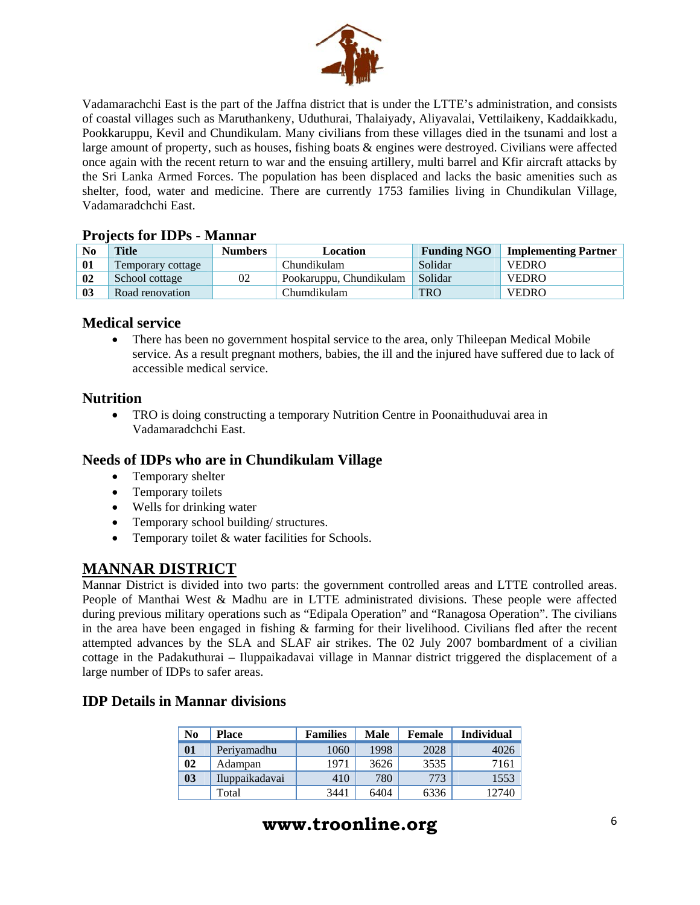

Vadamarachchi East is the part of the Jaffna district that is under the LTTE's administration, and consists of coastal villages such as Maruthankeny, Uduthurai, Thalaiyady, Aliyavalai, Vettilaikeny, Kaddaikkadu, Pookkaruppu, Kevil and Chundikulam. Many civilians from these villages died in the tsunami and lost a large amount of property, such as houses, fishing boats & engines were destroyed. Civilians were affected once again with the recent return to war and the ensuing artillery, multi barrel and Kfir aircraft attacks by the Sri Lanka Armed Forces. The population has been displaced and lacks the basic amenities such as shelter, food, water and medicine. There are currently 1753 families living in Chundikulan Village, Vadamaradchchi East.

#### **Projects for IDPs - Mannar**

| N <sub>0</sub> | <b>Title</b>      | <b>Numbers</b> | Location                | <b>Funding NGO</b> | <b>Implementing Partner</b> |
|----------------|-------------------|----------------|-------------------------|--------------------|-----------------------------|
| 01             | Temporary cottage |                | Chundikulam             | Solidar            | <b>VEDRO</b>                |
| 02             | School cottage    | 02             | Pookaruppu, Chundikulam | Solidar            | <b>VEDRO</b>                |
| 03             | Road renovation   |                | Chumdikulam             | <b>TRO</b>         | <b>VEDRO</b>                |

#### **Medical service**

• There has been no government hospital service to the area, only Thileepan Medical Mobile service. As a result pregnant mothers, babies, the ill and the injured have suffered due to lack of accessible medical service.

#### **Nutrition**

• TRO is doing constructing a temporary Nutrition Centre in Poonaithuduvai area in Vadamaradchchi East.

#### **Needs of IDPs who are in Chundikulam Village**

- Temporary shelter
- Temporary toilets
- Wells for drinking water
- Temporary school building/ structures.
- Temporary toilet  $&$  water facilities for Schools.

#### **MANNAR DISTRICT**

Mannar District is divided into two parts: the government controlled areas and LTTE controlled areas. People of Manthai West & Madhu are in LTTE administrated divisions. These people were affected during previous military operations such as "Edipala Operation" and "Ranagosa Operation". The civilians in the area have been engaged in fishing & farming for their livelihood. Civilians fled after the recent attempted advances by the SLA and SLAF air strikes. The 02 July 2007 bombardment of a civilian cottage in the Padakuthurai – Iluppaikadavai village in Mannar district triggered the displacement of a large number of IDPs to safer areas.

#### **IDP Details in Mannar divisions**

| No             | <b>Place</b>   | <b>Families</b> | <b>Male</b> | Female | <b>Individual</b> |
|----------------|----------------|-----------------|-------------|--------|-------------------|
| 01             | Periyamadhu    | 1060            | 1998        | 2028   | 4026              |
| 02             | Adampan        | 1971            | 3626        | 3535   | 7161              |
| 0 <sub>3</sub> | Iluppaikadavai | 410             | 780         | 773    | 1553              |
|                | Total          | 3441            | 6404        | 6336   | 12740             |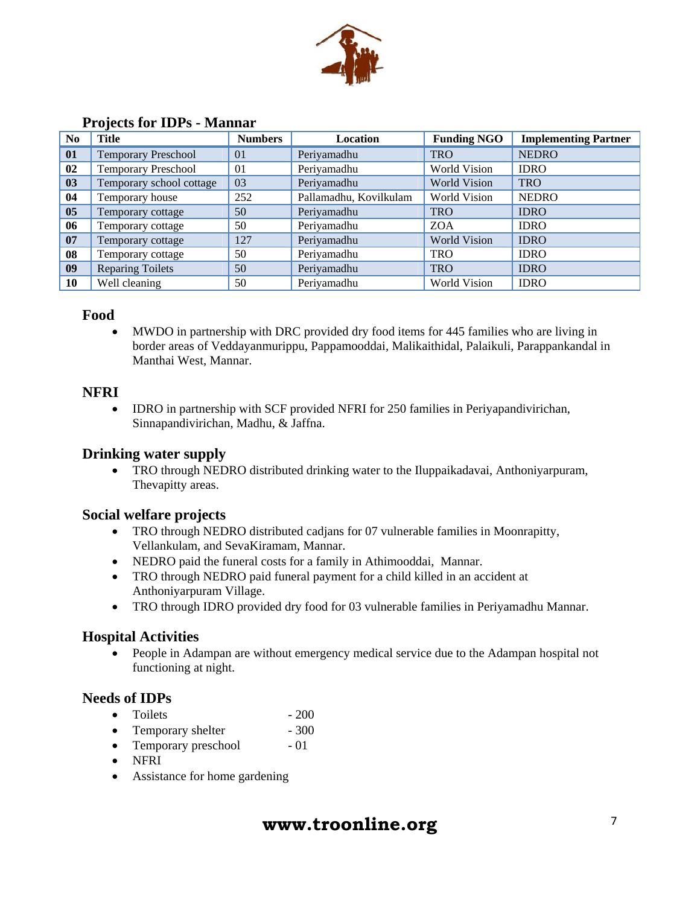

|                | $110$ $\mu$                |                |                        |                     |                             |  |  |
|----------------|----------------------------|----------------|------------------------|---------------------|-----------------------------|--|--|
| N <sub>o</sub> | <b>Title</b>               | <b>Numbers</b> | Location               | <b>Funding NGO</b>  | <b>Implementing Partner</b> |  |  |
| 01             | <b>Temporary Preschool</b> | 01             | Periyamadhu            | <b>TRO</b>          | <b>NEDRO</b>                |  |  |
| 02             | <b>Temporary Preschool</b> | 01             | Periyamadhu            | World Vision        | <b>IDRO</b>                 |  |  |
| 03             | Temporary school cottage   | 03             | Periyamadhu            | <b>World Vision</b> | <b>TRO</b>                  |  |  |
| 04             | Temporary house            | 252            | Pallamadhu, Kovilkulam | World Vision        | <b>NEDRO</b>                |  |  |
| 05             | Temporary cottage          | 50             | Periyamadhu            | <b>TRO</b>          | <b>IDRO</b>                 |  |  |
| 06             | Temporary cottage          | 50             | Periyamadhu            | <b>ZOA</b>          | <b>IDRO</b>                 |  |  |
| 07             | 127<br>Temporary cottage   |                | Periyamadhu            | <b>World Vision</b> | <b>IDRO</b>                 |  |  |
| 08             | Temporary cottage          | 50             | Periyamadhu            | <b>TRO</b>          | <b>IDRO</b>                 |  |  |
| 09             | <b>Reparing Toilets</b>    | 50             | Periyamadhu            | <b>TRO</b>          | <b>IDRO</b>                 |  |  |
| 10             | Well cleaning              | 50             | Periyamadhu            | <b>World Vision</b> | <b>IDRO</b>                 |  |  |

#### **Projects for IDPs - Mannar**

#### **Food**

• MWDO in partnership with DRC provided dry food items for 445 families who are living in border areas of Veddayanmurippu, Pappamooddai, Malikaithidal, Palaikuli, Parappankandal in Manthai West, Mannar.

#### **NFRI**

• IDRO in partnership with SCF provided NFRI for 250 families in Periyapandivirichan, Sinnapandivirichan, Madhu, & Jaffna.

#### **Drinking water supply**

• TRO through NEDRO distributed drinking water to the Iluppaikadavai, Anthoniyarpuram, Thevapitty areas.

#### **Social welfare projects**

- TRO through NEDRO distributed cadjans for 07 vulnerable families in Moonrapitty, Vellankulam, and SevaKiramam, Mannar.
- NEDRO paid the funeral costs for a family in Athimooddai, Mannar.
- TRO through NEDRO paid funeral payment for a child killed in an accident at Anthoniyarpuram Village.
- TRO through IDRO provided dry food for 03 vulnerable families in Periyamadhu Mannar.

#### **Hospital Activities**

• People in Adampan are without emergency medical service due to the Adampan hospital not functioning at night.

#### **Needs of IDPs**

- Toilets  $-200$
- Temporary shelter 300
- Temporary preschool 01
- NFRI
- Assistance for home gardening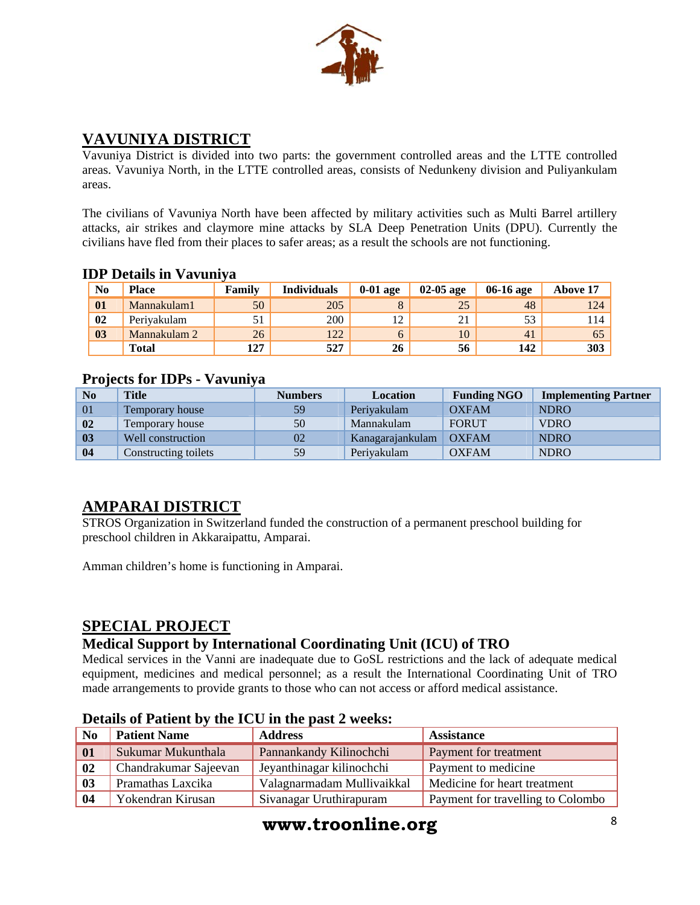

## **VAVUNIYA DISTRICT**

Vavuniya District is divided into two parts: the government controlled areas and the LTTE controlled areas. Vavuniya North, in the LTTE controlled areas, consists of Nedunkeny division and Puliyankulam areas.

The civilians of Vavuniya North have been affected by military activities such as Multi Barrel artillery attacks, air strikes and claymore mine attacks by SLA Deep Penetration Units (DPU). Currently the civilians have fled from their places to safer areas; as a result the schools are not functioning.

#### **IDP Details in Vavuniya**

| No | <b>Place</b> | Family | <b>Individuals</b> | $0-01$ age | $02-05$ age | 06-16 age | Above 17   |
|----|--------------|--------|--------------------|------------|-------------|-----------|------------|
| 01 | Mannakulam1  | 50     | 205                |            | 25          | 48        | 124        |
| 02 | Perivakulam  | 51     | 200                | 12         | 21          | 53        | 114        |
| 03 | Mannakulam 2 | 26     | $122^{1}$          |            | 10          | 41        | 65         |
|    | <b>Total</b> | 127    | 527                | 26         | 56          | 142       | <b>303</b> |

#### **Projects for IDPs - Vavuniya**

| No             | <b>Title</b>           | <b>Numbers</b> | Location         | <b>Funding NGO</b> | <b>Implementing Partner</b> |
|----------------|------------------------|----------------|------------------|--------------------|-----------------------------|
| 01             | <b>Temporary house</b> | 59             | Periyakulam      | <b>OXFAM</b>       | <b>NDRO</b>                 |
| 02             | Temporary house        | 50             | Mannakulam       | <b>FORUT</b>       | <b>VDRO</b>                 |
| 0 <sub>3</sub> | Well construction      | 02             | Kanagarajankulam | <b>OXFAM</b>       | <b>NDRO</b>                 |
| 04             | Constructing toilets   | 59             | Periyakulam      | <b>OXFAM</b>       | <b>NDRO</b>                 |

# **AMPARAI DISTRICT**

STROS Organization in Switzerland funded the construction of a permanent preschool building for preschool children in Akkaraipattu, Amparai.

Amman children's home is functioning in Amparai.

### **SPECIAL PROJECT**

#### **Medical Support by International Coordinating Unit (ICU) of TRO**

Medical services in the Vanni are inadequate due to GoSL restrictions and the lack of adequate medical equipment, medicines and medical personnel; as a result the International Coordinating Unit of TRO made arrangements to provide grants to those who can not access or afford medical assistance.

| N <sub>0</sub> | <b>Patient Name</b>   | <b>Address</b>             | <b>Assistance</b>                 |
|----------------|-----------------------|----------------------------|-----------------------------------|
| 01             | Sukumar Mukunthala    | Pannankandy Kilinochchi    | Payment for treatment             |
| 02             | Chandrakumar Sajeevan | Jeyanthinagar kilinochchi  | Payment to medicine               |
| 03             | Pramathas Laxcika     | Valagnarmadam Mullivaikkal | Medicine for heart treatment      |
| 04             | Yokendran Kirusan     | Sivanagar Uruthirapuram    | Payment for travelling to Colombo |

#### **Details of Patient by the ICU in the past 2 weeks:**